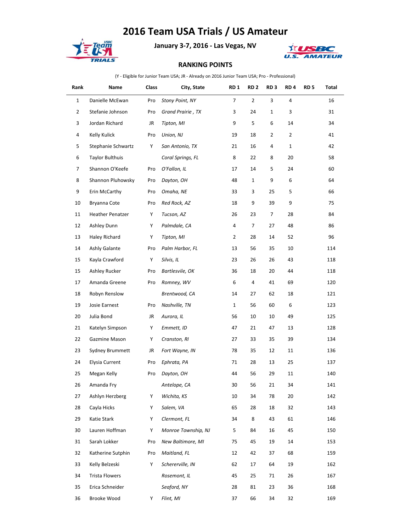## **2016 Team USA Trials / US Amateur**



**January 3-7, 2016 - Las Vegas, NV**



## **RANKING POINTS**

(Y - Eligible for Junior Team USA; JR - Already on 2016 Junior Team USA; Pro - Professional)

| Rank           | Name                   | Class | City, State         | RD <sub>1</sub> | RD <sub>2</sub> | RD <sub>3</sub> | RD <sub>4</sub> | RD <sub>5</sub> | Total |
|----------------|------------------------|-------|---------------------|-----------------|-----------------|-----------------|-----------------|-----------------|-------|
| $\mathbf{1}$   | Danielle McEwan        | Pro   | Stony Point, NY     | $\overline{7}$  | $\overline{2}$  | 3               | 4               |                 | 16    |
| $\overline{2}$ | Stefanie Johnson       | Pro   | Grand Prairie, TX   | 3               | 24              | $\mathbf{1}$    | 3               |                 | 31    |
| 3              | Jordan Richard         | JR    | Tipton, MI          | 9               | 5               | 6               | 14              |                 | 34    |
| 4              | Kelly Kulick           | Pro   | Union, NJ           | 19              | 18              | 2               | $\overline{2}$  |                 | 41    |
| 5              | Stephanie Schwartz     | Y     | San Antonio, TX     | 21              | 16              | 4               | $\mathbf{1}$    |                 | 42    |
| 6              | <b>Taylor Bulthuis</b> |       | Coral Springs, FL   | 8               | 22              | 8               | 20              |                 | 58    |
| 7              | Shannon O'Keefe        | Pro   | O'Fallon, IL        | 17              | 14              | 5               | 24              |                 | 60    |
| 8              | Shannon Pluhowsky      | Pro   | Dayton, OH          | 48              | $\mathbf{1}$    | 9               | 6               |                 | 64    |
| 9              | Erin McCarthy          | Pro   | Omaha, NE           | 33              | 3               | 25              | 5               |                 | 66    |
| 10             | Bryanna Cote           | Pro   | Red Rock, AZ        | 18              | 9               | 39              | 9               |                 | 75    |
| 11             | Heather Penatzer       | Y     | Tucson, AZ          | 26              | 23              | 7               | 28              |                 | 84    |
| 12             | Ashley Dunn            | Y     | Palmdale, CA        | 4               | 7               | 27              | 48              |                 | 86    |
| 13             | Haley Richard          | Υ     | Tipton, MI          | $\overline{2}$  | 28              | 14              | 52              |                 | 96    |
| 14             | Ashly Galante          | Pro   | Palm Harbor, FL     | 13              | 56              | 35              | 10              |                 | 114   |
| 15             | Kayla Crawford         | Y     | Silvis, IL          | 23              | 26              | 26              | 43              |                 | 118   |
| 15             | Ashley Rucker          | Pro   | Bartlesvile, OK     | 36              | 18              | 20              | 44              |                 | 118   |
| 17             | Amanda Greene          | Pro   | Romney, WV          | 6               | 4               | 41              | 69              |                 | 120   |
| 18             | Robyn Renslow          |       | Brentwood, CA       | 14              | 27              | 62              | 18              |                 | 121   |
| 19             | Josie Earnest          | Pro   | Nashville, TN       | $\mathbf{1}$    | 56              | 60              | 6               |                 | 123   |
| 20             | Julia Bond             | JR    | Aurora, IL          | 56              | 10              | 10              | 49              |                 | 125   |
| 21             | Katelyn Simpson        | Y     | Emmett, ID          | 47              | 21              | 47              | 13              |                 | 128   |
| 22             | Gazmine Mason          | Y     | Cranston, RI        | 27              | 33              | 35              | 39              |                 | 134   |
| 23             | Sydney Brummett        | JR    | Fort Wayne, IN      | 78              | 35              | 12              | 11              |                 | 136   |
| 24             | <b>Elysia Current</b>  | Pro   | Ephrata, PA         | 71              | 28              | 13              | 25              |                 | 137   |
| 25             | Megan Kelly            | Pro   | Dayton, OH          | 44              | 56              | 29              | 11              |                 | 140   |
| 26             | Amanda Fry             |       | Antelope, CA        | 30              | 56              | 21              | 34              |                 | 141   |
| 27             | Ashlyn Herzberg        | Y     | Wichita, KS         | 10              | 34              | 78              | 20              |                 | 142   |
| 28             | Cayla Hicks            | Y     | Salem, VA           | 65              | 28              | 18              | 32              |                 | 143   |
| 29             | Katie Stark            | Y     | Clermont, FL        | 34              | 8               | 43              | 61              |                 | 146   |
| 30             | Lauren Hoffman         | Υ     | Monroe Township, NJ | 5               | 84              | 16              | 45              |                 | 150   |
| 31             | Sarah Lokker           | Pro   | New Baltimore, MI   | 75              | 45              | 19              | 14              |                 | 153   |
| 32             | Katherine Sutphin      | Pro   | Maitland, FL        | 12              | 42              | 37              | 68              |                 | 159   |
| 33             | Kelly Belzeski         | Y     | Schererville, IN    | 62              | 17              | 64              | 19              |                 | 162   |
| 34             | Trista Flowers         |       | Rosemont, IL        | 45              | 25              | 71              | 26              |                 | 167   |
| 35             | Erica Schneider        |       | Seaford, NY         | 28              | 81              | 23              | 36              |                 | 168   |
| 36             | Brooke Wood            | Y     | Flint, MI           | 37              | 66              | 34              | 32              |                 | 169   |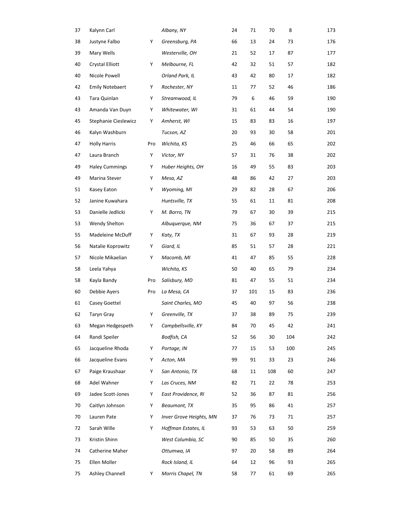| 37 | Kalynn Carl            |     | Albany, NY              | 24 | 71  | 70  | 8   | 173 |
|----|------------------------|-----|-------------------------|----|-----|-----|-----|-----|
| 38 | Justyne Falbo          | Y   | Greensburg, PA          | 66 | 13  | 24  | 73  | 176 |
| 39 | Mary Wells             |     | Westerville, OH         | 21 | 52  | 17  | 87  | 177 |
| 40 | Crystal Elliott        | Y   | Melbourne, FL           | 42 | 32  | 51  | 57  | 182 |
| 40 | Nicole Powell          |     | Orland Park, IL         | 43 | 42  | 80  | 17  | 182 |
| 42 | <b>Emily Notebaert</b> | Y   | Rochester, NY           | 11 | 77  | 52  | 46  | 186 |
| 43 | Tara Quinlan           | Υ   | Streamwood, IL          | 79 | 6   | 46  | 59  | 190 |
| 43 | Amanda Van Duyn        | Υ   | Whitewater, WI          | 31 | 61  | 44  | 54  | 190 |
| 45 | Stephanie Cieslewicz   | Y   | Amherst, WI             | 15 | 83  | 83  | 16  | 197 |
| 46 | Kalyn Washburn         |     | Tucson, AZ              | 20 | 93  | 30  | 58  | 201 |
| 47 | <b>Holly Harris</b>    | Pro | Wichita, KS             | 25 | 46  | 66  | 65  | 202 |
| 47 | Laura Branch           | Y   | Victor, NY              | 57 | 31  | 76  | 38  | 202 |
| 49 | <b>Haley Cummings</b>  | Y   | Huber Heights, OH       | 16 | 49  | 55  | 83  | 203 |
| 49 | Marina Stever          | Y   | Mesa, AZ                | 48 | 86  | 42  | 27  | 203 |
| 51 | Kasey Eaton            | Υ   | Wyoming, MI             | 29 | 82  | 28  | 67  | 206 |
| 52 | Janine Kuwahara        |     | Huntsville, TX          | 55 | 61  | 11  | 81  | 208 |
| 53 | Danielle Jedlicki      | Y   | M. Borro, TN            | 79 | 67  | 30  | 39  | 215 |
| 53 | Wendy Shelton          |     | Albuquerque, NM         | 75 | 36  | 67  | 37  | 215 |
| 55 | Madeleine McDuff       | Y   | Katy, TX                | 31 | 67  | 93  | 28  | 219 |
| 56 | Natalie Koprowitz      | Y   | Giard, IL               | 85 | 51  | 57  | 28  | 221 |
| 57 | Nicole Mikaelian       | Υ   | Macomb, MI              | 41 | 47  | 85  | 55  | 228 |
| 58 | Leela Yahya            |     | Wichita, KS             | 50 | 40  | 65  | 79  | 234 |
| 58 | Kayla Bandy            | Pro | Salisbury, MD           | 81 | 47  | 55  | 51  | 234 |
| 60 | Debbie Ayers           | Pro | La Mesa, CA             | 37 | 101 | 15  | 83  | 236 |
| 61 | Casey Goettel          |     | Saint Charles, MO       | 45 | 40  | 97  | 56  | 238 |
| 62 | Taryn Gray             | Y   | Greenville, TX          | 37 | 38  | 89  | 75  | 239 |
| 63 | Megan Hedgespeth       | Υ   | Campbellsville, KY      | 84 | 70  | 45  | 42  | 241 |
| 64 | Randi Speiler          |     | Bodfish, CA             | 52 | 56  | 30  | 104 | 242 |
| 65 | Jacqueline Rhoda       | Y   | Portage, IN             | 77 | 15  | 53  | 100 | 245 |
| 66 | Jacqueline Evans       | Y   | Acton, MA               | 99 | 91  | 33  | 23  | 246 |
| 67 | Paige Kraushaar        | Y   | San Antonio, TX         | 68 | 11  | 108 | 60  | 247 |
| 68 | Adel Wahner            | Υ   | Las Cruces, NM          | 82 | 71  | 22  | 78  | 253 |
| 69 | Jadee Scott-Jones      | Y   | East Providence, RI     | 52 | 36  | 87  | 81  | 256 |
| 70 | Caitlyn Johnson        | Y   | Beaumont, TX            | 35 | 95  | 86  | 41  | 257 |
| 70 | Lauren Pate            | Y   | Inver Grove Heights, MN | 37 | 76  | 73  | 71  | 257 |
| 72 | Sarah Wille            | Y   | Hoffman Estates, IL     | 93 | 53  | 63  | 50  | 259 |
| 73 | Kristin Shinn          |     | West Columbia, SC       | 90 | 85  | 50  | 35  | 260 |
| 74 | Catherine Maher        |     | Ottumwa, IA             | 97 | 20  | 58  | 89  | 264 |
| 75 | Ellen Moller           |     | Rock Island, IL         | 64 | 12  | 96  | 93  | 265 |
| 75 | Ashley Channell        | Y   | Morris Chapel, TN       | 58 | 77  | 61  | 69  | 265 |